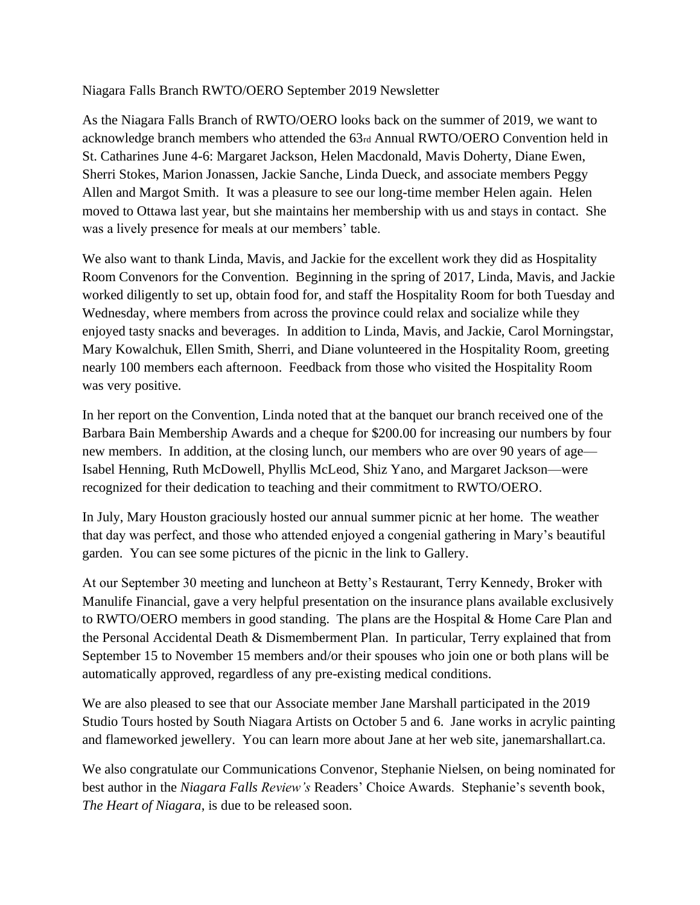Niagara Falls Branch RWTO/OERO September 2019 Newsletter

As the Niagara Falls Branch of RWTO/OERO looks back on the summer of 2019, we want to acknowledge branch members who attended the 63rd Annual RWTO/OERO Convention held in St. Catharines June 4-6: Margaret Jackson, Helen Macdonald, Mavis Doherty, Diane Ewen, Sherri Stokes, Marion Jonassen, Jackie Sanche, Linda Dueck, and associate members Peggy Allen and Margot Smith. It was a pleasure to see our long-time member Helen again. Helen moved to Ottawa last year, but she maintains her membership with us and stays in contact. She was a lively presence for meals at our members' table.

We also want to thank Linda, Mavis, and Jackie for the excellent work they did as Hospitality Room Convenors for the Convention. Beginning in the spring of 2017, Linda, Mavis, and Jackie worked diligently to set up, obtain food for, and staff the Hospitality Room for both Tuesday and Wednesday, where members from across the province could relax and socialize while they enjoyed tasty snacks and beverages. In addition to Linda, Mavis, and Jackie, Carol Morningstar, Mary Kowalchuk, Ellen Smith, Sherri, and Diane volunteered in the Hospitality Room, greeting nearly 100 members each afternoon. Feedback from those who visited the Hospitality Room was very positive.

In her report on the Convention, Linda noted that at the banquet our branch received one of the Barbara Bain Membership Awards and a cheque for \$200.00 for increasing our numbers by four new members. In addition, at the closing lunch, our members who are over 90 years of age— Isabel Henning, Ruth McDowell, Phyllis McLeod, Shiz Yano, and Margaret Jackson—were recognized for their dedication to teaching and their commitment to RWTO/OERO.

In July, Mary Houston graciously hosted our annual summer picnic at her home. The weather that day was perfect, and those who attended enjoyed a congenial gathering in Mary's beautiful garden. You can see some pictures of the picnic in the link to Gallery.

At our September 30 meeting and luncheon at Betty's Restaurant, Terry Kennedy, Broker with Manulife Financial, gave a very helpful presentation on the insurance plans available exclusively to RWTO/OERO members in good standing. The plans are the Hospital & Home Care Plan and the Personal Accidental Death & Dismemberment Plan. In particular, Terry explained that from September 15 to November 15 members and/or their spouses who join one or both plans will be automatically approved, regardless of any pre-existing medical conditions.

We are also pleased to see that our Associate member Jane Marshall participated in the 2019 Studio Tours hosted by South Niagara Artists on October 5 and 6. Jane works in acrylic painting and flameworked jewellery. You can learn more about Jane at her web site, janemarshallart.ca.

We also congratulate our Communications Convenor, Stephanie Nielsen, on being nominated for best author in the *Niagara Falls Review's* Readers' Choice Awards. Stephanie's seventh book, *The Heart of Niagara*, is due to be released soon.